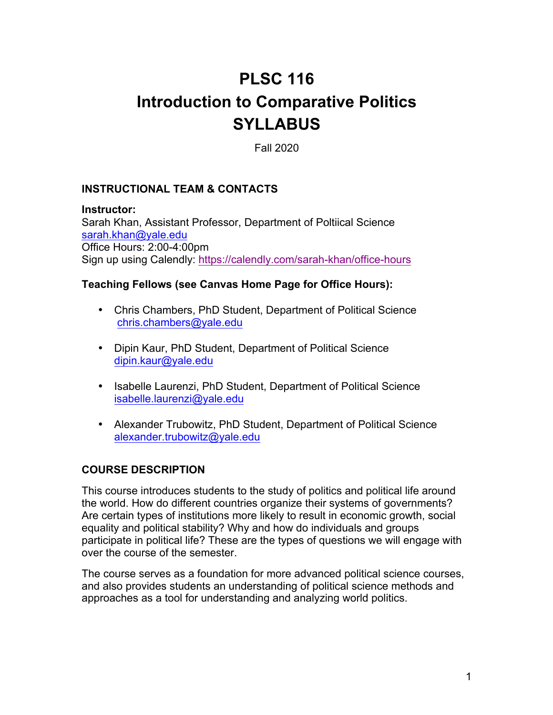# **PLSC 116 Introduction to Comparative Politics SYLLABUS**

Fall 2020

## **INSTRUCTIONAL TEAM & CONTACTS**

**Instructor:**

Sarah Khan, Assistant Professor, Department of Poltiical Science sarah.khan@yale.edu Office Hours: 2:00-4:00pm Sign up using Calendly: https://calendly.com/sarah-khan/office-hours

## **Teaching Fellows (see Canvas Home Page for Office Hours):**

- Chris Chambers, PhD Student, Department of Political Science chris.chambers@yale.edu
- Dipin Kaur, PhD Student, Department of Political Science dipin.kaur@yale.edu
- Isabelle Laurenzi, PhD Student, Department of Political Science isabelle.laurenzi@yale.edu
- Alexander Trubowitz, PhD Student, Department of Political Science alexander.trubowitz@yale.edu

# **COURSE DESCRIPTION**

This course introduces students to the study of politics and political life around the world. How do different countries organize their systems of governments? Are certain types of institutions more likely to result in economic growth, social equality and political stability? Why and how do individuals and groups participate in political life? These are the types of questions we will engage with over the course of the semester.

The course serves as a foundation for more advanced political science courses, and also provides students an understanding of political science methods and approaches as a tool for understanding and analyzing world politics.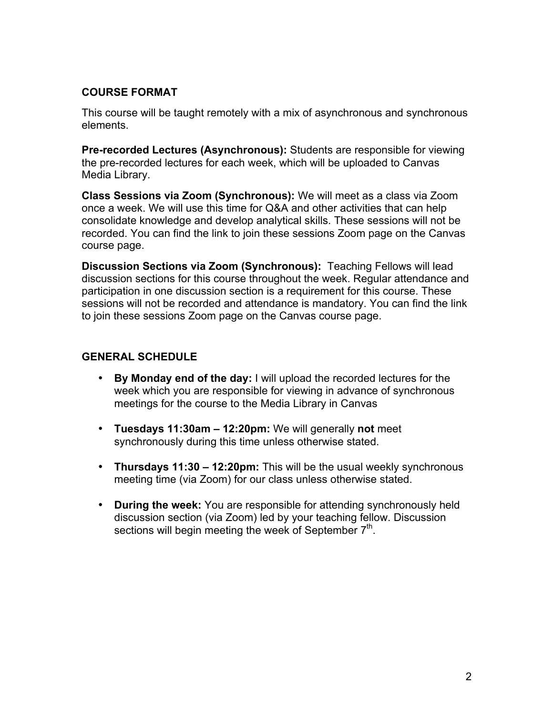## **COURSE FORMAT**

This course will be taught remotely with a mix of asynchronous and synchronous elements.

**Pre-recorded Lectures (Asynchronous):** Students are responsible for viewing the pre-recorded lectures for each week, which will be uploaded to Canvas Media Library.

**Class Sessions via Zoom (Synchronous):** We will meet as a class via Zoom once a week. We will use this time for Q&A and other activities that can help consolidate knowledge and develop analytical skills. These sessions will not be recorded. You can find the link to join these sessions Zoom page on the Canvas course page.

**Discussion Sections via Zoom (Synchronous):** Teaching Fellows will lead discussion sections for this course throughout the week. Regular attendance and participation in one discussion section is a requirement for this course. These sessions will not be recorded and attendance is mandatory. You can find the link to join these sessions Zoom page on the Canvas course page.

## **GENERAL SCHEDULE**

- **By Monday end of the day:** I will upload the recorded lectures for the week which you are responsible for viewing in advance of synchronous meetings for the course to the Media Library in Canvas
- **Tuesdays 11:30am – 12:20pm:** We will generally **not** meet synchronously during this time unless otherwise stated.
- **Thursdays 11:30 – 12:20pm:** This will be the usual weekly synchronous meeting time (via Zoom) for our class unless otherwise stated.
- **During the week:** You are responsible for attending synchronously held discussion section (via Zoom) led by your teaching fellow. Discussion sections will begin meeting the week of September  $7<sup>th</sup>$ .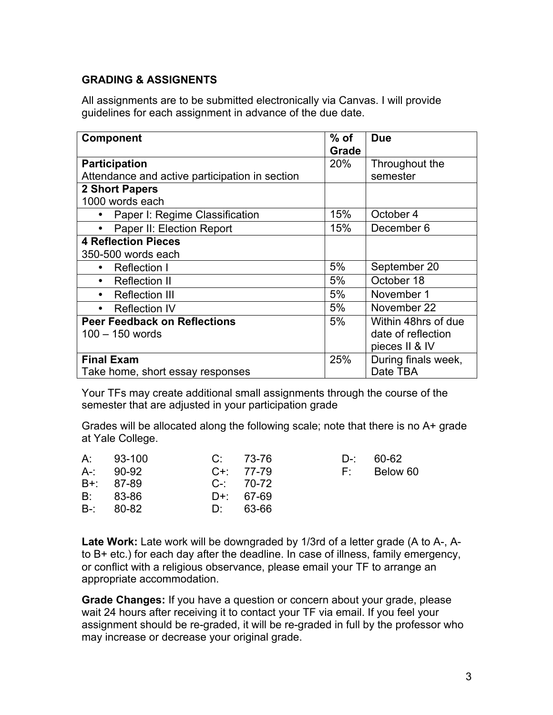## **GRADING & ASSIGNENTS**

All assignments are to be submitted electronically via Canvas. I will provide guidelines for each assignment in advance of the due date.

| Component                                      | $%$ of<br>Grade | <b>Due</b>          |  |  |  |  |
|------------------------------------------------|-----------------|---------------------|--|--|--|--|
| <b>Participation</b>                           |                 | Throughout the      |  |  |  |  |
| Attendance and active participation in section |                 | semester            |  |  |  |  |
| <b>2 Short Papers</b>                          |                 |                     |  |  |  |  |
| 1000 words each                                |                 |                     |  |  |  |  |
| Paper I: Regime Classification                 | 15%             | October 4           |  |  |  |  |
| Paper II: Election Report<br>$\bullet$         | 15%             | December 6          |  |  |  |  |
| <b>4 Reflection Pieces</b>                     |                 |                     |  |  |  |  |
| 350-500 words each                             |                 |                     |  |  |  |  |
| <b>Reflection I</b><br>$\bullet$               | 5%              | September 20        |  |  |  |  |
| <b>Reflection II</b><br>$\bullet$              | 5%              | October 18          |  |  |  |  |
| <b>Reflection III</b><br>$\bullet$             | 5%              | November 1          |  |  |  |  |
| <b>Reflection IV</b><br>$\bullet$              | 5%              | November 22         |  |  |  |  |
| <b>Peer Feedback on Reflections</b>            |                 | Within 48hrs of due |  |  |  |  |
| $100 - 150$ words                              |                 | date of reflection  |  |  |  |  |
|                                                |                 | pieces II & IV      |  |  |  |  |
| <b>Final Exam</b>                              | 25%             | During finals week, |  |  |  |  |
| Take home, short essay responses               |                 | Date TBA            |  |  |  |  |

Your TFs may create additional small assignments through the course of the semester that are adjusted in your participation grade

Grades will be allocated along the following scale; note that there is no A+ grade at Yale College.

|               | A: 93-100     | C: 73-76      |  | D-: 60-62   |
|---------------|---------------|---------------|--|-------------|
|               | $A-2 = 90-92$ | $C_{1}$ 77-79 |  | F: Below 60 |
| B+: 87-89     |               | $C-$ 70-72    |  |             |
|               | $B: 83-86$    | $D+ 67-69$    |  |             |
| $B - 80 - 82$ |               | D: 63-66      |  |             |

**Late Work:** Late work will be downgraded by 1/3rd of a letter grade (A to A-, Ato B+ etc.) for each day after the deadline. In case of illness, family emergency, or conflict with a religious observance, please email your TF to arrange an appropriate accommodation.

**Grade Changes:** If you have a question or concern about your grade, please wait 24 hours after receiving it to contact your TF via email. If you feel your assignment should be re-graded, it will be re-graded in full by the professor who may increase or decrease your original grade.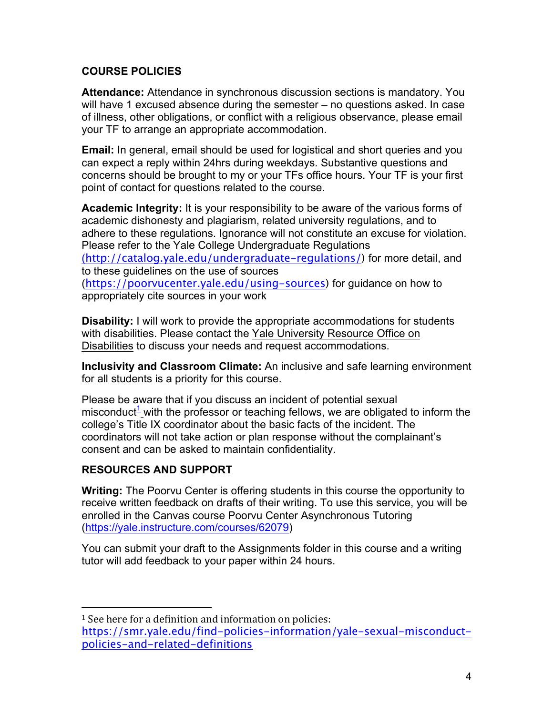## **COURSE POLICIES**

**Attendance:** Attendance in synchronous discussion sections is mandatory. You will have 1 excused absence during the semester – no questions asked. In case of illness, other obligations, or conflict with a religious observance, please email your TF to arrange an appropriate accommodation.

**Email:** In general, email should be used for logistical and short queries and you can expect a reply within 24hrs during weekdays. Substantive questions and concerns should be brought to my or your TFs office hours. Your TF is your first point of contact for questions related to the course.

**Academic Integrity:** It is your responsibility to be aware of the various forms of academic dishonesty and plagiarism, related university regulations, and to adhere to these regulations. Ignorance will not constitute an excuse for violation. Please refer to the Yale College Undergraduate Regulations (http://catalog.yale.edu/undergraduate-regulations/) for more detail, and to these guidelines on the use of sources (https://poorvucenter.yale.edu/using-sources) for guidance on how to appropriately cite sources in your work

**Disability:** I will work to provide the appropriate accommodations for students with disabilities. Please contact the Yale University Resource Office on Disabilities to discuss your needs and request accommodations.

**Inclusivity and Classroom Climate:** An inclusive and safe learning environment for all students is a priority for this course.

Please be aware that if you discuss an incident of potential sexual misconduct<sup>1</sup> with the professor or teaching fellows, we are obligated to inform the college's Title IX coordinator about the basic facts of the incident. The coordinators will not take action or plan response without the complainant's consent and can be asked to maintain confidentiality.

## **RESOURCES AND SUPPORT**

 

**Writing:** The Poorvu Center is offering students in this course the opportunity to receive written feedback on drafts of their writing. To use this service, you will be enrolled in the Canvas course Poorvu Center Asynchronous Tutoring (https://yale.instructure.com/courses/62079)

You can submit your draft to the Assignments folder in this course and a writing tutor will add feedback to your paper within 24 hours.

<sup>&</sup>lt;sup>1</sup> See here for a definition and information on policies: https://smr.yale.edu/find-policies-information/yale-sexual-misconductpolicies-and-related-definitions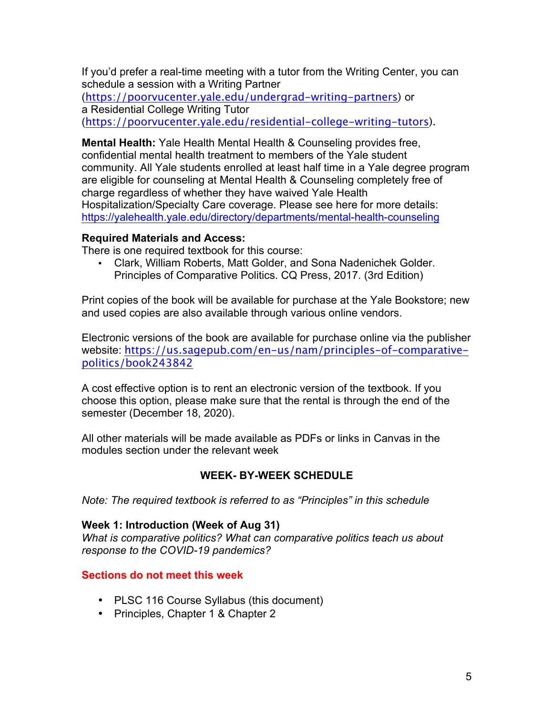If you'd prefer a real-time meeting with a tutor from the Writing Center, you can schedule a session with a Writing Partner

(https://poorvucenter.yale.edu/undergrad-writing-partners) or a Residential College Writing Tutor (https://poorvucenter.yale.edu/residential-college-writing-tutors).

**Mental Health:** Yale Health Mental Health & Counseling provides free, confidential mental health treatment to members of the Yale student community. All Yale students enrolled at least half time in a Yale degree program are eligible for counseling at Mental Health & Counseling completely free of charge regardless of whether they have waived Yale Health Hospitalization/Specialty Care coverage. Please see here for more details: https://yalehealth.yale.edu/directory/departments/mental-health-counseling

#### **Required Materials and Access:**

There is one required textbook for this course:

• Clark, William Roberts, Matt Golder, and Sona Nadenichek Golder. Principles of Comparative Politics. CQ Press, 2017. (3rd Edition)

Print copies of the book will be available for purchase at the Yale Bookstore; new and used copies are also available through various online vendors.

Electronic versions of the book are available for purchase online via the publisher website: https://us.sagepub.com/en-us/nam/principles-of-comparativepolitics/book243842

A cost effective option is to rent an electronic version of the textbook. If you choose this option, please make sure that the rental is through the end of the semester (December 18, 2020).

All other materials will be made available as PDFs or links in Canvas in the modules section under the relevant week

#### **WEEK- BY-WEEK SCHEDULE**

*Note: The required textbook is referred to as "Principles" in this schedule*

#### **Week 1: Introduction (Week of Aug 31)**

*What is comparative politics? What can comparative politics teach us about response to the COVID-19 pandemics?*

#### **Sections do not meet this week**

- PLSC 116 Course Syllabus (this document)
- Principles, Chapter 1 & Chapter 2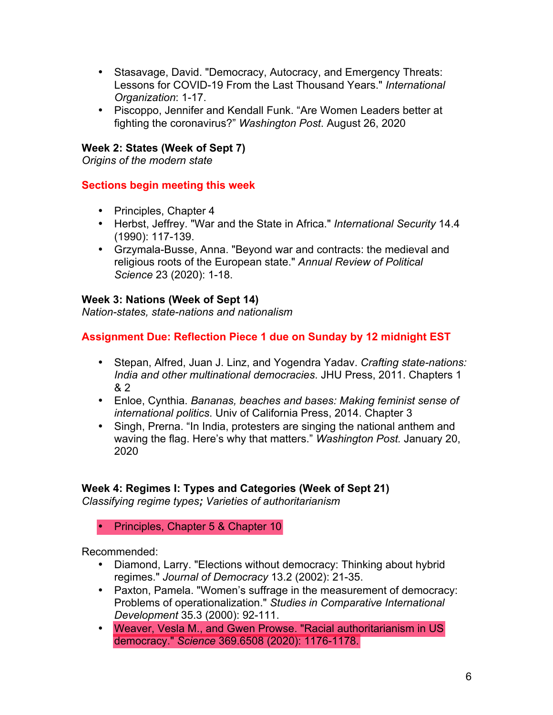- Stasavage, David. "Democracy, Autocracy, and Emergency Threats: Lessons for COVID-19 From the Last Thousand Years." *International Organization*: 1-17.
- Piscoppo, Jennifer and Kendall Funk. "Are Women Leaders better at fighting the coronavirus?" *Washington Post*. August 26, 2020

## **Week 2: States (Week of Sept 7)**

*Origins of the modern state*

## **Sections begin meeting this week**

- Principles, Chapter 4
- Herbst, Jeffrey. "War and the State in Africa." *International Security* 14.4 (1990): 117-139.
- Grzymala-Busse, Anna. "Beyond war and contracts: the medieval and religious roots of the European state." *Annual Review of Political Science* 23 (2020): 1-18.

#### **Week 3: Nations (Week of Sept 14)**

*Nation-states, state-nations and nationalism*

## **Assignment Due: Reflection Piece 1 due on Sunday by 12 midnight EST**

- Stepan, Alfred, Juan J. Linz, and Yogendra Yadav. *Crafting state-nations: India and other multinational democracies*. JHU Press, 2011. Chapters 1 & 2
- Enloe, Cynthia. *Bananas, beaches and bases: Making feminist sense of international politics*. Univ of California Press, 2014. Chapter 3
- Singh, Prerna. "In India, protesters are singing the national anthem and waving the flag. Here's why that matters." *Washington Post.* January 20, 2020

## **Week 4: Regimes I: Types and Categories (Week of Sept 21)**

*Classifying regime types; Varieties of authoritarianism*

#### • Principles, Chapter 5 & Chapter 10

Recommended:

- Diamond, Larry. "Elections without democracy: Thinking about hybrid regimes." *Journal of Democracy* 13.2 (2002): 21-35.
- Paxton, Pamela. "Women's suffrage in the measurement of democracy: Problems of operationalization." *Studies in Comparative International Development* 35.3 (2000): 92-111.
- Weaver, Vesla M., and Gwen Prowse. "Racial authoritarianism in US democracy." *Science* 369.6508 (2020): 1176-1178.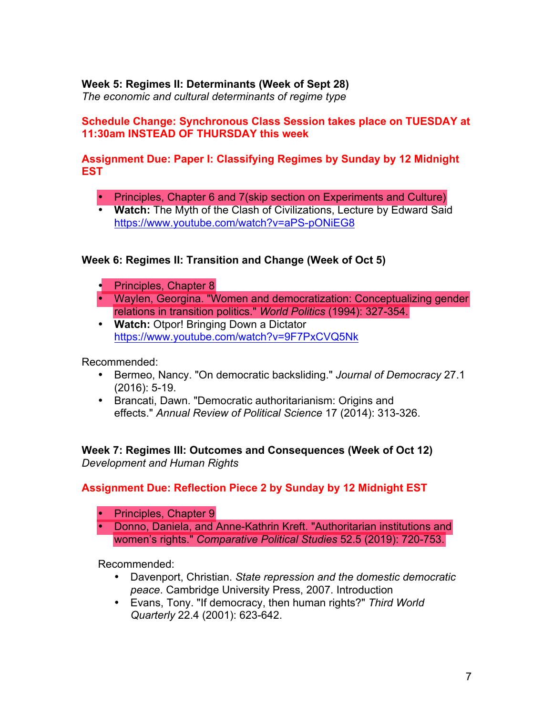## **Week 5: Regimes II: Determinants (Week of Sept 28)**

*The economic and cultural determinants of regime type*

#### **Schedule Change: Synchronous Class Session takes place on TUESDAY at 11:30am INSTEAD OF THURSDAY this week**

#### **Assignment Due: Paper I: Classifying Regimes by Sunday by 12 Midnight EST**

- Principles, Chapter 6 and 7(skip section on Experiments and Culture)
- **Watch:** The Myth of the Clash of Civilizations, Lecture by Edward Said https://www.youtube.com/watch?v=aPS-pONiEG8

## **Week 6: Regimes II: Transition and Change (Week of Oct 5)**

- Principles, Chapter 8
- Waylen, Georgina. "Women and democratization: Conceptualizing gender relations in transition politics." *World Politics* (1994): 327-354.
- **Watch:** Otpor! Bringing Down a Dictator https://www.youtube.com/watch?v=9F7PxCVQ5Nk

Recommended:

- Bermeo, Nancy. "On democratic backsliding." *Journal of Democracy* 27.1 (2016): 5-19.
- Brancati, Dawn. "Democratic authoritarianism: Origins and effects." *Annual Review of Political Science* 17 (2014): 313-326.

**Week 7: Regimes III: Outcomes and Consequences (Week of Oct 12)** *Development and Human Rights*

## **Assignment Due: Reflection Piece 2 by Sunday by 12 Midnight EST**

- Principles, Chapter 9
- Donno, Daniela, and Anne-Kathrin Kreft. "Authoritarian institutions and women's rights." *Comparative Political Studies* 52.5 (2019): 720-753.

Recommended:

- Davenport, Christian. *State repression and the domestic democratic peace*. Cambridge University Press, 2007. Introduction
- Evans, Tony. "If democracy, then human rights?" *Third World Quarterly* 22.4 (2001): 623-642.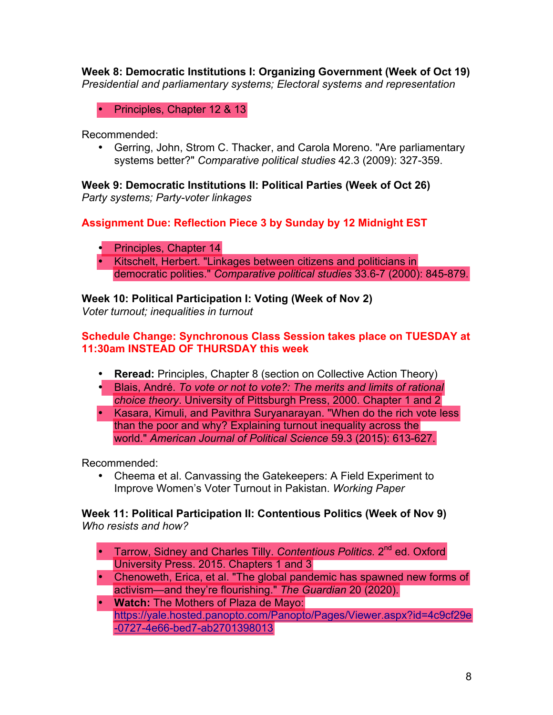**Week 8: Democratic Institutions I: Organizing Government (Week of Oct 19)** *Presidential and parliamentary systems; Electoral systems and representation*

• Principles, Chapter 12 & 13

Recommended:

• Gerring, John, Strom C. Thacker, and Carola Moreno. "Are parliamentary systems better?" *Comparative political studies* 42.3 (2009): 327-359.

**Week 9: Democratic Institutions II: Political Parties (Week of Oct 26)** *Party systems; Party-voter linkages*

**Assignment Due: Reflection Piece 3 by Sunday by 12 Midnight EST**

- Principles, Chapter 14
- Kitschelt, Herbert. "Linkages between citizens and politicians in democratic polities." *Comparative political studies* 33.6-7 (2000): 845-879.

**Week 10: Political Participation I: Voting (Week of Nov 2)**

*Voter turnout; inequalities in turnout*

#### **Schedule Change: Synchronous Class Session takes place on TUESDAY at 11:30am INSTEAD OF THURSDAY this week**

- **Reread:** Principles, Chapter 8 (section on Collective Action Theory)
- Blais, André. *To vote or not to vote?: The merits and limits of rational choice theory*. University of Pittsburgh Press, 2000. Chapter 1 and 2
- Kasara, Kimuli, and Pavithra Suryanarayan. "When do the rich vote less than the poor and why? Explaining turnout inequality across the world." *American Journal of Political Science* 59.3 (2015): 613-627.

Recommended:

• Cheema et al. Canvassing the Gatekeepers: A Field Experiment to Improve Women's Voter Turnout in Pakistan. *Working Paper*

**Week 11: Political Participation II: Contentious Politics (Week of Nov 9)** *Who resists and how?* 

- <sup>1</sup> Tarrow, Sidney and Charles Tilly. *Contentious Politics.* 2<sup>nd</sup> ed. Oxford University Press. 2015. Chapters 1 and 3
- Chenoweth, Erica, et al. "The global pandemic has spawned new forms of activism—and they're flourishing." *The Guardian* 20 (2020).
- **Watch:** The Mothers of Plaza de Mayo: https://yale.hosted.panopto.com/Panopto/Pages/Viewer.aspx?id=4c9cf29e -0727-4e66-bed7-ab2701398013